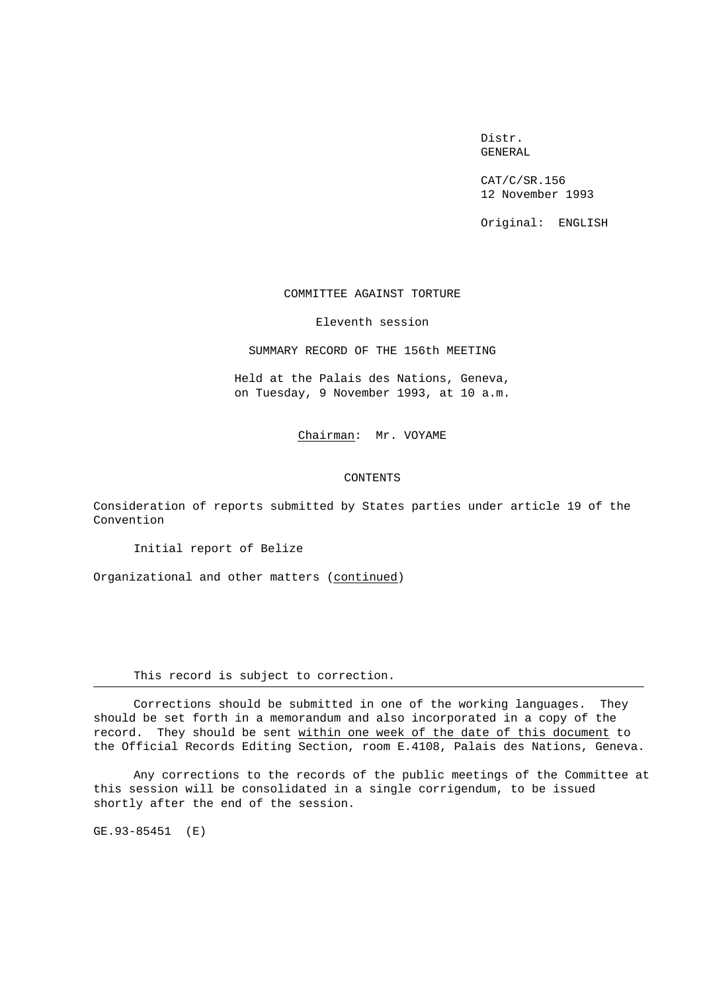Distr. GENERAL

CAT/C/SR.156 12 November 1993

Original: ENGLISH

### COMMITTEE AGAINST TORTURE

Eleventh session

#### SUMMARY RECORD OF THE 156th MEETING

Held at the Palais des Nations, Geneva, on Tuesday, 9 November 1993, at 10 a.m.

Chairman: Mr. VOYAME

### CONTENTS

Consideration of reports submitted by States parties under article 19 of the Convention

Initial report of Belize

Organizational and other matters (continued)

# This record is subject to correction.

Corrections should be submitted in one of the working languages. They should be set forth in a memorandum and also incorporated in a copy of the record. They should be sent within one week of the date of this document to the Official Records Editing Section, room E.4108, Palais des Nations, Geneva.

Any corrections to the records of the public meetings of the Committee at this session will be consolidated in a single corrigendum, to be issued shortly after the end of the session.

GE.93-85451 (E)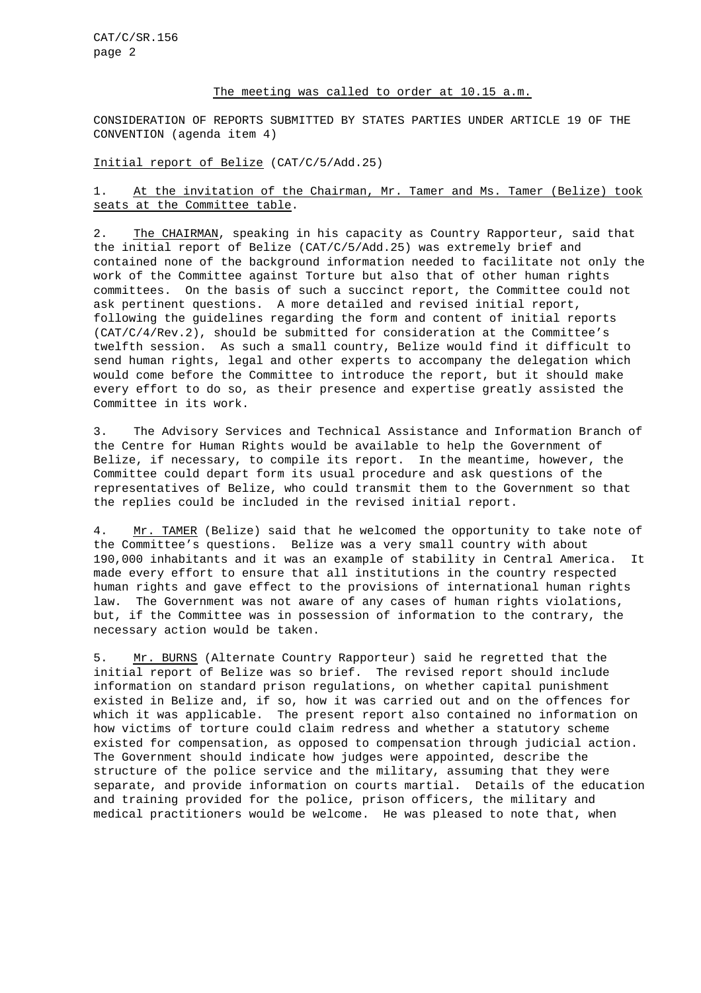### The meeting was called to order at 10.15 a.m.

CONSIDERATION OF REPORTS SUBMITTED BY STATES PARTIES UNDER ARTICLE 19 OF THE CONVENTION (agenda item 4)

## Initial report of Belize (CAT/C/5/Add.25)

# 1. At the invitation of the Chairman, Mr. Tamer and Ms. Tamer (Belize) took seats at the Committee table.

2. The CHAIRMAN, speaking in his capacity as Country Rapporteur, said that the initial report of Belize (CAT/C/5/Add.25) was extremely brief and contained none of the background information needed to facilitate not only the work of the Committee against Torture but also that of other human rights committees. On the basis of such a succinct report, the Committee could not ask pertinent questions. A more detailed and revised initial report, following the guidelines regarding the form and content of initial reports (CAT/C/4/Rev.2), should be submitted for consideration at the Committee's twelfth session. As such a small country, Belize would find it difficult to send human rights, legal and other experts to accompany the delegation which would come before the Committee to introduce the report, but it should make every effort to do so, as their presence and expertise greatly assisted the Committee in its work.

3. The Advisory Services and Technical Assistance and Information Branch of the Centre for Human Rights would be available to help the Government of Belize, if necessary, to compile its report. In the meantime, however, the Committee could depart form its usual procedure and ask questions of the representatives of Belize, who could transmit them to the Government so that the replies could be included in the revised initial report.

4. Mr. TAMER (Belize) said that he welcomed the opportunity to take note of the Committee's questions. Belize was a very small country with about 190,000 inhabitants and it was an example of stability in Central America. It made every effort to ensure that all institutions in the country respected human rights and gave effect to the provisions of international human rights law. The Government was not aware of any cases of human rights violations, but, if the Committee was in possession of information to the contrary, the necessary action would be taken.

5. Mr. BURNS (Alternate Country Rapporteur) said he regretted that the initial report of Belize was so brief. The revised report should include information on standard prison regulations, on whether capital punishment existed in Belize and, if so, how it was carried out and on the offences for which it was applicable. The present report also contained no information on how victims of torture could claim redress and whether a statutory scheme existed for compensation, as opposed to compensation through judicial action. The Government should indicate how judges were appointed, describe the structure of the police service and the military, assuming that they were separate, and provide information on courts martial. Details of the education and training provided for the police, prison officers, the military and medical practitioners would be welcome. He was pleased to note that, when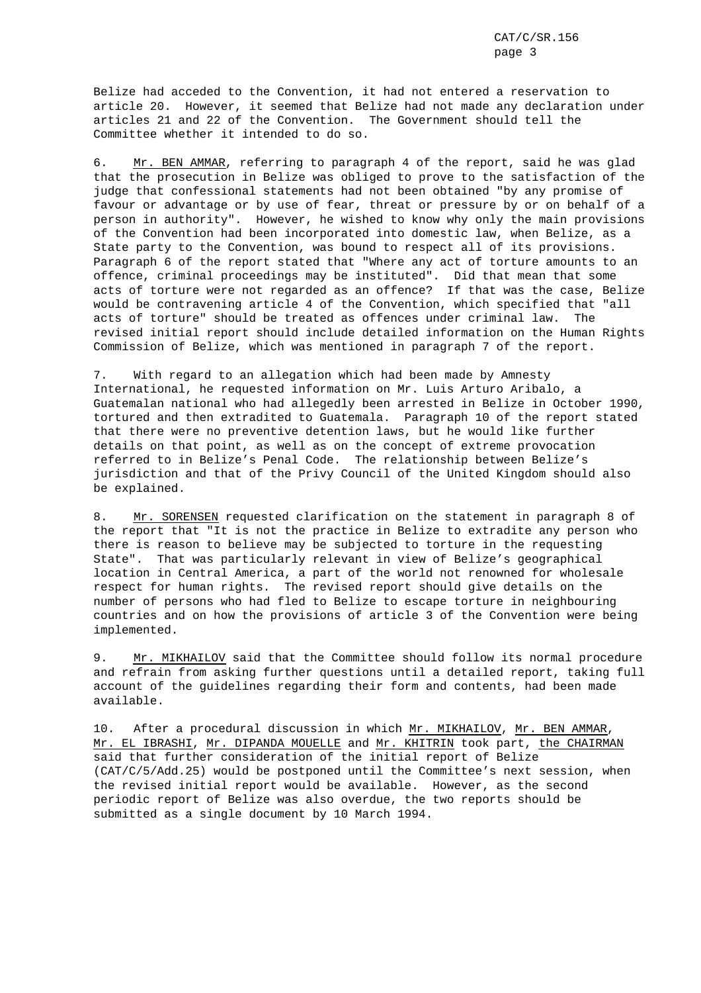Belize had acceded to the Convention, it had not entered a reservation to article 20. However, it seemed that Belize had not made any declaration under articles 21 and 22 of the Convention. The Government should tell the Committee whether it intended to do so.

6. Mr. BEN AMMAR, referring to paragraph 4 of the report, said he was glad that the prosecution in Belize was obliged to prove to the satisfaction of the judge that confessional statements had not been obtained "by any promise of favour or advantage or by use of fear, threat or pressure by or on behalf of a person in authority". However, he wished to know why only the main provisions of the Convention had been incorporated into domestic law, when Belize, as a State party to the Convention, was bound to respect all of its provisions. Paragraph 6 of the report stated that "Where any act of torture amounts to an offence, criminal proceedings may be instituted". Did that mean that some acts of torture were not regarded as an offence? If that was the case, Belize would be contravening article 4 of the Convention, which specified that "all acts of torture" should be treated as offences under criminal law. The revised initial report should include detailed information on the Human Rights Commission of Belize, which was mentioned in paragraph 7 of the report.

7. With regard to an allegation which had been made by Amnesty International, he requested information on Mr. Luis Arturo Aribalo, a Guatemalan national who had allegedly been arrested in Belize in October 1990, tortured and then extradited to Guatemala. Paragraph 10 of the report stated that there were no preventive detention laws, but he would like further details on that point, as well as on the concept of extreme provocation referred to in Belize's Penal Code. The relationship between Belize's jurisdiction and that of the Privy Council of the United Kingdom should also be explained.

8. Mr. SORENSEN requested clarification on the statement in paragraph 8 of the report that "It is not the practice in Belize to extradite any person who there is reason to believe may be subjected to torture in the requesting State". That was particularly relevant in view of Belize's geographical location in Central America, a part of the world not renowned for wholesale respect for human rights. The revised report should give details on the number of persons who had fled to Belize to escape torture in neighbouring countries and on how the provisions of article 3 of the Convention were being implemented.

9. Mr. MIKHAILOV said that the Committee should follow its normal procedure and refrain from asking further questions until a detailed report, taking full account of the guidelines regarding their form and contents, had been made available.

10. After a procedural discussion in which Mr. MIKHAILOV, Mr. BEN AMMAR, Mr. EL IBRASHI, Mr. DIPANDA MOUELLE and Mr. KHITRIN took part, the CHAIRMAN said that further consideration of the initial report of Belize (CAT/C/5/Add.25) would be postponed until the Committee's next session, when the revised initial report would be available. However, as the second periodic report of Belize was also overdue, the two reports should be submitted as a single document by 10 March 1994.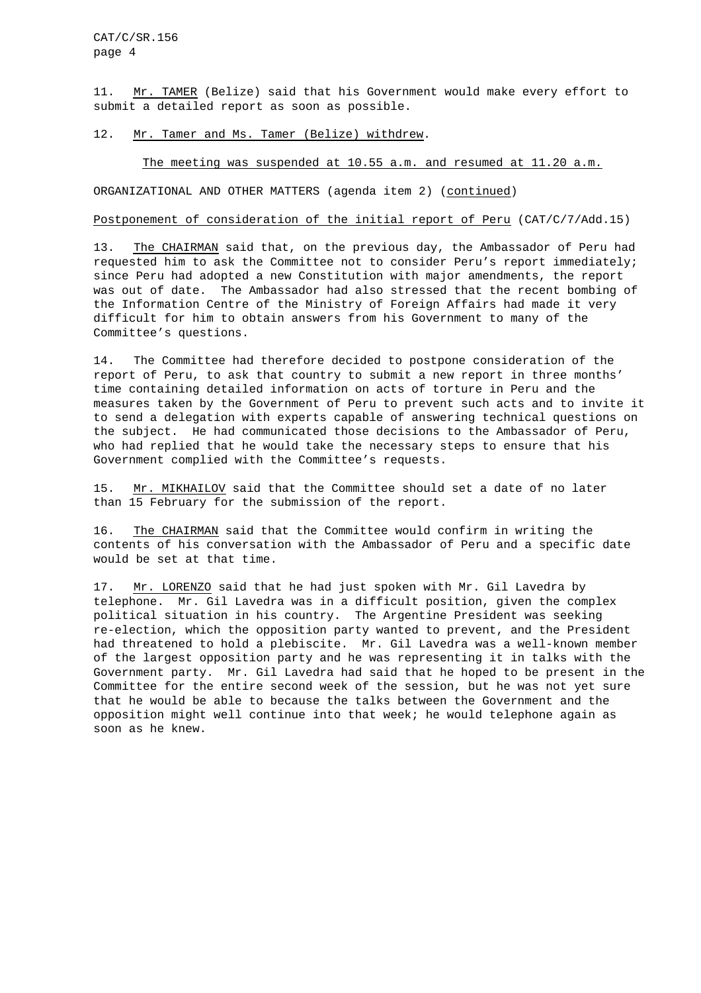11. Mr. TAMER (Belize) said that his Government would make every effort to submit a detailed report as soon as possible.

### 12. Mr. Tamer and Ms. Tamer (Belize) withdrew.

# The meeting was suspended at 10.55 a.m. and resumed at 11.20 a.m.

ORGANIZATIONAL AND OTHER MATTERS (agenda item 2) (continued)

### Postponement of consideration of the initial report of Peru (CAT/C/7/Add.15)

13. The CHAIRMAN said that, on the previous day, the Ambassador of Peru had requested him to ask the Committee not to consider Peru's report immediately; since Peru had adopted a new Constitution with major amendments, the report was out of date. The Ambassador had also stressed that the recent bombing of the Information Centre of the Ministry of Foreign Affairs had made it very difficult for him to obtain answers from his Government to many of the Committee's questions.

14. The Committee had therefore decided to postpone consideration of the report of Peru, to ask that country to submit a new report in three months' time containing detailed information on acts of torture in Peru and the measures taken by the Government of Peru to prevent such acts and to invite it to send a delegation with experts capable of answering technical questions on the subject. He had communicated those decisions to the Ambassador of Peru, who had replied that he would take the necessary steps to ensure that his Government complied with the Committee's requests.

15. Mr. MIKHAILOV said that the Committee should set a date of no later than 15 February for the submission of the report.

16. The CHAIRMAN said that the Committee would confirm in writing the contents of his conversation with the Ambassador of Peru and a specific date would be set at that time.

17. Mr. LORENZO said that he had just spoken with Mr. Gil Lavedra by telephone. Mr. Gil Lavedra was in a difficult position, given the complex political situation in his country. The Argentine President was seeking re-election, which the opposition party wanted to prevent, and the President had threatened to hold a plebiscite. Mr. Gil Lavedra was a well-known member of the largest opposition party and he was representing it in talks with the Government party. Mr. Gil Lavedra had said that he hoped to be present in the Committee for the entire second week of the session, but he was not yet sure that he would be able to because the talks between the Government and the opposition might well continue into that week; he would telephone again as soon as he knew.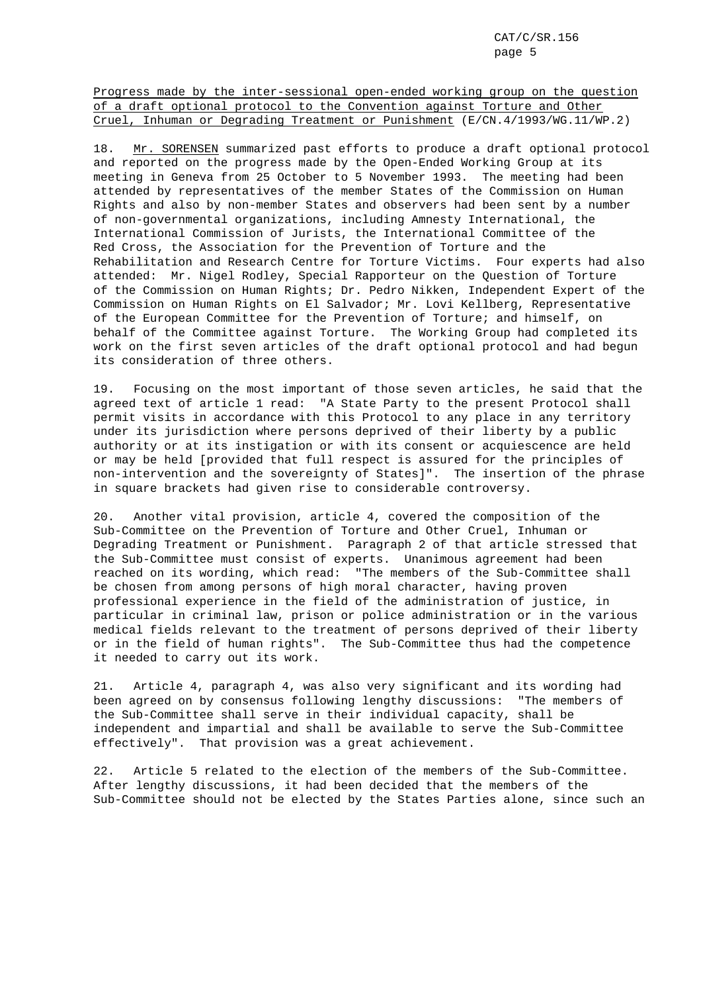Progress made by the inter-sessional open-ended working group on the question of a draft optional protocol to the Convention against Torture and Other Cruel, Inhuman or Degrading Treatment or Punishment (E/CN.4/1993/WG.11/WP.2)

18. Mr. SORENSEN summarized past efforts to produce a draft optional protocol and reported on the progress made by the Open-Ended Working Group at its meeting in Geneva from 25 October to 5 November 1993. The meeting had been attended by representatives of the member States of the Commission on Human Rights and also by non-member States and observers had been sent by a number of non-governmental organizations, including Amnesty International, the International Commission of Jurists, the International Committee of the Red Cross, the Association for the Prevention of Torture and the Rehabilitation and Research Centre for Torture Victims. Four experts had also attended: Mr. Nigel Rodley, Special Rapporteur on the Question of Torture of the Commission on Human Rights; Dr. Pedro Nikken, Independent Expert of the Commission on Human Rights on El Salvador; Mr. Lovi Kellberg, Representative of the European Committee for the Prevention of Torture; and himself, on behalf of the Committee against Torture. The Working Group had completed its work on the first seven articles of the draft optional protocol and had begun its consideration of three others.

19. Focusing on the most important of those seven articles, he said that the agreed text of article 1 read: "A State Party to the present Protocol shall permit visits in accordance with this Protocol to any place in any territory under its jurisdiction where persons deprived of their liberty by a public authority or at its instigation or with its consent or acquiescence are held or may be held [provided that full respect is assured for the principles of non-intervention and the sovereignty of States]". The insertion of the phrase in square brackets had given rise to considerable controversy.

20. Another vital provision, article 4, covered the composition of the Sub-Committee on the Prevention of Torture and Other Cruel, Inhuman or Degrading Treatment or Punishment. Paragraph 2 of that article stressed that the Sub-Committee must consist of experts. Unanimous agreement had been reached on its wording, which read: "The members of the Sub-Committee shall be chosen from among persons of high moral character, having proven professional experience in the field of the administration of justice, in particular in criminal law, prison or police administration or in the various medical fields relevant to the treatment of persons deprived of their liberty or in the field of human rights". The Sub-Committee thus had the competence it needed to carry out its work.

21. Article 4, paragraph 4, was also very significant and its wording had been agreed on by consensus following lengthy discussions: "The members of the Sub-Committee shall serve in their individual capacity, shall be independent and impartial and shall be available to serve the Sub-Committee effectively". That provision was a great achievement.

22. Article 5 related to the election of the members of the Sub-Committee. After lengthy discussions, it had been decided that the members of the Sub-Committee should not be elected by the States Parties alone, since such an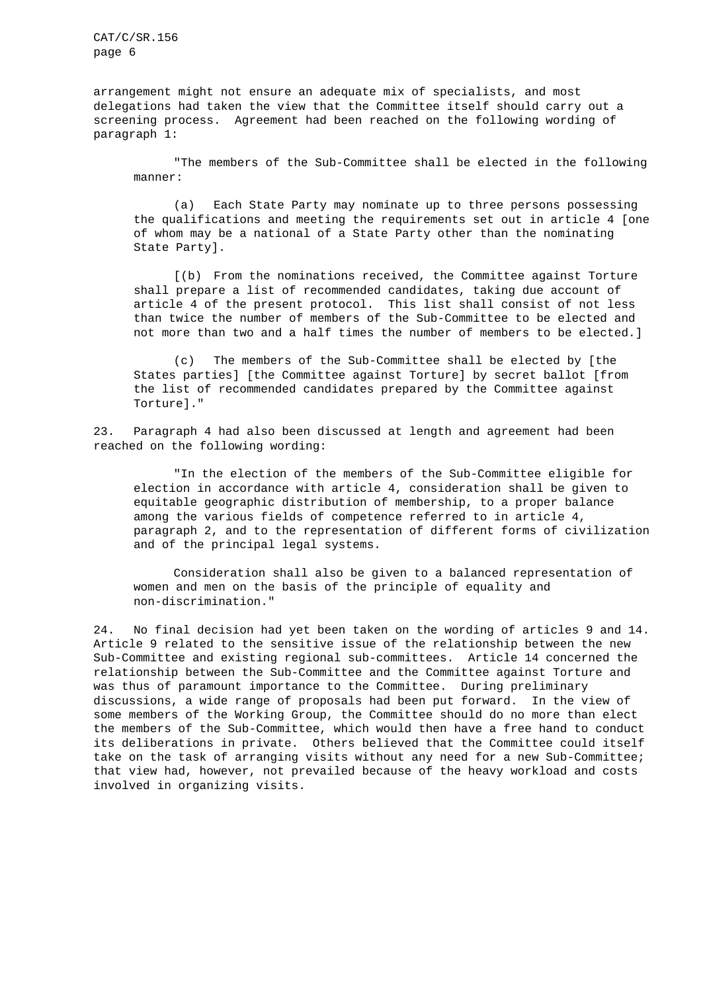arrangement might not ensure an adequate mix of specialists, and most delegations had taken the view that the Committee itself should carry out a screening process. Agreement had been reached on the following wording of paragraph 1:

"The members of the Sub-Committee shall be elected in the following manner:

(a) Each State Party may nominate up to three persons possessing the qualifications and meeting the requirements set out in article 4 [one of whom may be a national of a State Party other than the nominating State Party].

[(b) From the nominations received, the Committee against Torture shall prepare a list of recommended candidates, taking due account of article 4 of the present protocol. This list shall consist of not less than twice the number of members of the Sub-Committee to be elected and not more than two and a half times the number of members to be elected.]

(c) The members of the Sub-Committee shall be elected by [the States parties] [the Committee against Torture] by secret ballot [from the list of recommended candidates prepared by the Committee against Torture]."

23. Paragraph 4 had also been discussed at length and agreement had been reached on the following wording:

"In the election of the members of the Sub-Committee eligible for election in accordance with article 4, consideration shall be given to equitable geographic distribution of membership, to a proper balance among the various fields of competence referred to in article 4, paragraph 2, and to the representation of different forms of civilization and of the principal legal systems.

Consideration shall also be given to a balanced representation of women and men on the basis of the principle of equality and non-discrimination."

24. No final decision had yet been taken on the wording of articles 9 and 14. Article 9 related to the sensitive issue of the relationship between the new Sub-Committee and existing regional sub-committees. Article 14 concerned the relationship between the Sub-Committee and the Committee against Torture and was thus of paramount importance to the Committee. During preliminary discussions, a wide range of proposals had been put forward. In the view of some members of the Working Group, the Committee should do no more than elect the members of the Sub-Committee, which would then have a free hand to conduct its deliberations in private. Others believed that the Committee could itself take on the task of arranging visits without any need for a new Sub-Committee; that view had, however, not prevailed because of the heavy workload and costs involved in organizing visits.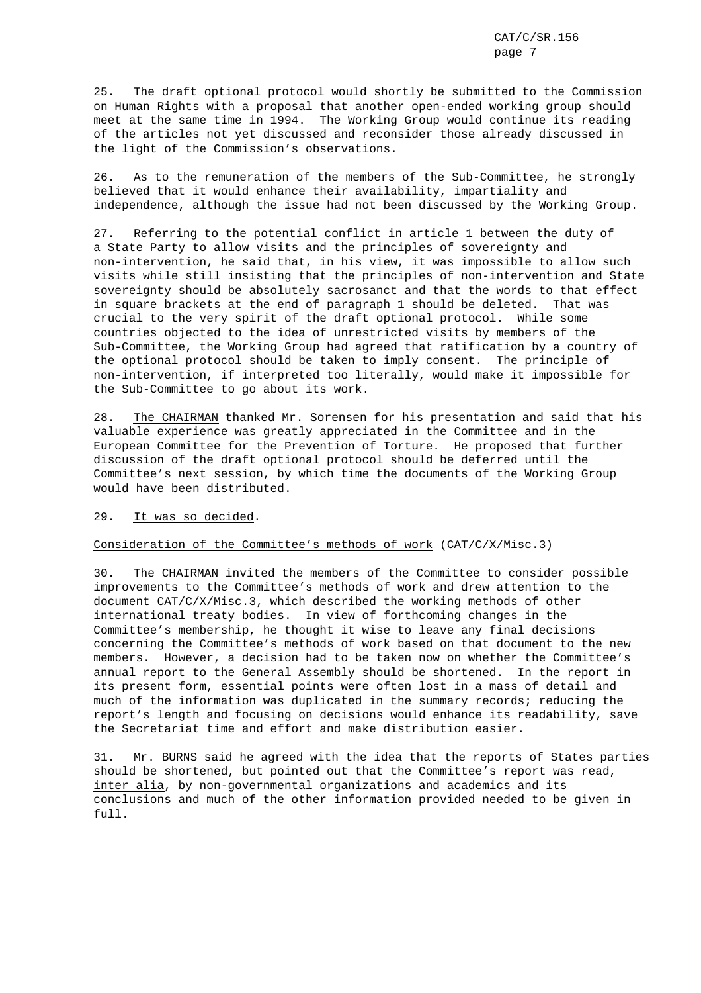25. The draft optional protocol would shortly be submitted to the Commission on Human Rights with a proposal that another open-ended working group should meet at the same time in 1994. The Working Group would continue its reading of the articles not yet discussed and reconsider those already discussed in the light of the Commission's observations.

26. As to the remuneration of the members of the Sub-Committee, he strongly believed that it would enhance their availability, impartiality and independence, although the issue had not been discussed by the Working Group.

27. Referring to the potential conflict in article 1 between the duty of a State Party to allow visits and the principles of sovereignty and non-intervention, he said that, in his view, it was impossible to allow such visits while still insisting that the principles of non-intervention and State sovereignty should be absolutely sacrosanct and that the words to that effect in square brackets at the end of paragraph 1 should be deleted. That was crucial to the very spirit of the draft optional protocol. While some countries objected to the idea of unrestricted visits by members of the Sub-Committee, the Working Group had agreed that ratification by a country of the optional protocol should be taken to imply consent. The principle of non-intervention, if interpreted too literally, would make it impossible for the Sub-Committee to go about its work.

28. The CHAIRMAN thanked Mr. Sorensen for his presentation and said that his valuable experience was greatly appreciated in the Committee and in the European Committee for the Prevention of Torture. He proposed that further discussion of the draft optional protocol should be deferred until the Committee's next session, by which time the documents of the Working Group would have been distributed.

## 29. It was so decided.

### Consideration of the Committee's methods of work (CAT/C/X/Misc.3)

30. The CHAIRMAN invited the members of the Committee to consider possible improvements to the Committee's methods of work and drew attention to the document CAT/C/X/Misc.3, which described the working methods of other international treaty bodies. In view of forthcoming changes in the Committee's membership, he thought it wise to leave any final decisions concerning the Committee's methods of work based on that document to the new members. However, a decision had to be taken now on whether the Committee's annual report to the General Assembly should be shortened. In the report in its present form, essential points were often lost in a mass of detail and much of the information was duplicated in the summary records; reducing the report's length and focusing on decisions would enhance its readability, save the Secretariat time and effort and make distribution easier.

31. Mr. BURNS said he agreed with the idea that the reports of States parties should be shortened, but pointed out that the Committee's report was read, inter alia, by non-governmental organizations and academics and its conclusions and much of the other information provided needed to be given in full.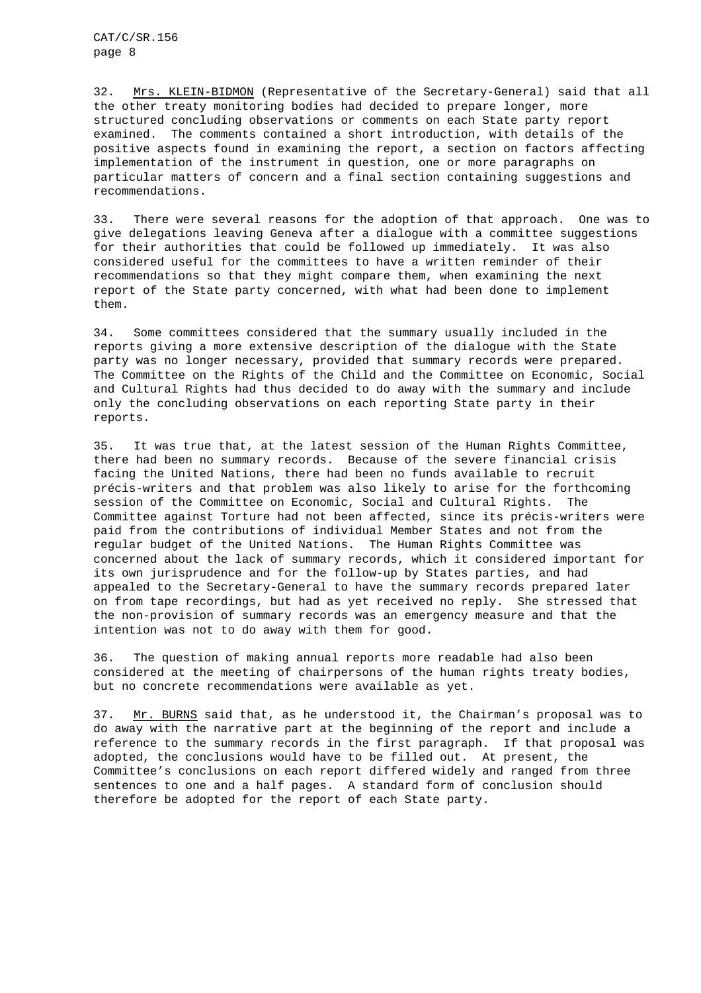32. Mrs. KLEIN-BIDMON (Representative of the Secretary-General) said that all the other treaty monitoring bodies had decided to prepare longer, more structured concluding observations or comments on each State party report examined. The comments contained a short introduction, with details of the positive aspects found in examining the report, a section on factors affecting implementation of the instrument in question, one or more paragraphs on particular matters of concern and a final section containing suggestions and recommendations.

33. There were several reasons for the adoption of that approach. One was to give delegations leaving Geneva after a dialogue with a committee suggestions for their authorities that could be followed up immediately. It was also considered useful for the committees to have a written reminder of their recommendations so that they might compare them, when examining the next report of the State party concerned, with what had been done to implement them.

34. Some committees considered that the summary usually included in the reports giving a more extensive description of the dialogue with the State party was no longer necessary, provided that summary records were prepared. The Committee on the Rights of the Child and the Committee on Economic, Social and Cultural Rights had thus decided to do away with the summary and include only the concluding observations on each reporting State party in their reports.

35. It was true that, at the latest session of the Human Rights Committee, there had been no summary records. Because of the severe financial crisis facing the United Nations, there had been no funds available to recruit précis-writers and that problem was also likely to arise for the forthcoming session of the Committee on Economic, Social and Cultural Rights. The Committee against Torture had not been affected, since its précis-writers were paid from the contributions of individual Member States and not from the regular budget of the United Nations. The Human Rights Committee was concerned about the lack of summary records, which it considered important for its own jurisprudence and for the follow-up by States parties, and had appealed to the Secretary-General to have the summary records prepared later on from tape recordings, but had as yet received no reply. She stressed that the non-provision of summary records was an emergency measure and that the intention was not to do away with them for good.

36. The question of making annual reports more readable had also been considered at the meeting of chairpersons of the human rights treaty bodies, but no concrete recommendations were available as yet.

37. Mr. BURNS said that, as he understood it, the Chairman's proposal was to do away with the narrative part at the beginning of the report and include a reference to the summary records in the first paragraph. If that proposal was adopted, the conclusions would have to be filled out. At present, the Committee's conclusions on each report differed widely and ranged from three sentences to one and a half pages. A standard form of conclusion should therefore be adopted for the report of each State party.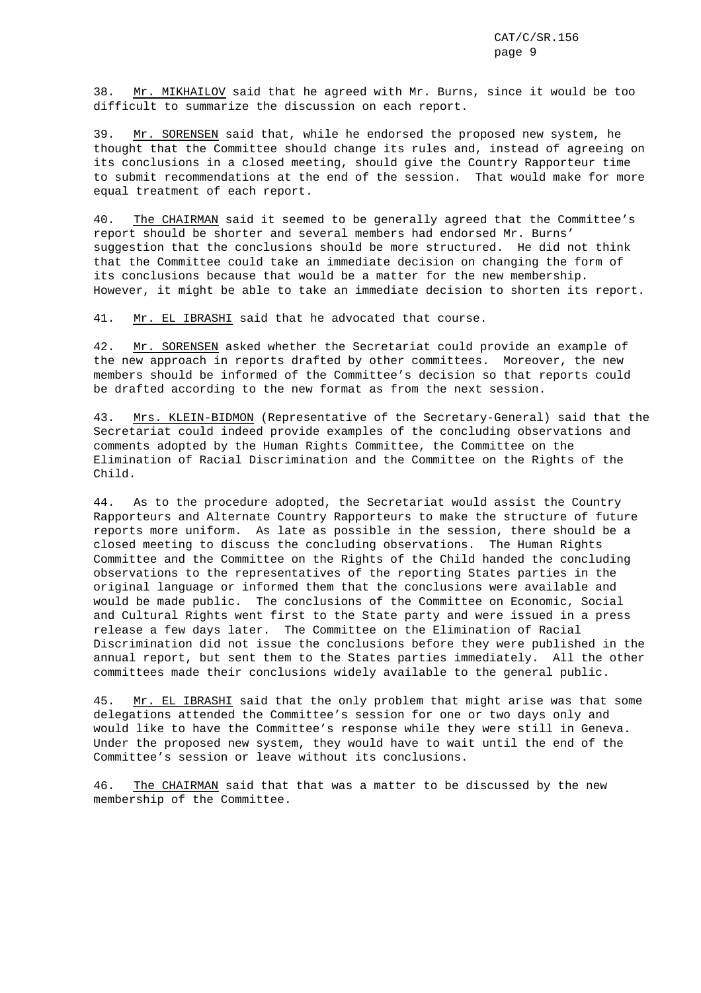38. Mr. MIKHAILOV said that he agreed with Mr. Burns, since it would be too difficult to summarize the discussion on each report.

39. Mr. SORENSEN said that, while he endorsed the proposed new system, he thought that the Committee should change its rules and, instead of agreeing on its conclusions in a closed meeting, should give the Country Rapporteur time to submit recommendations at the end of the session. That would make for more equal treatment of each report.

40. The CHAIRMAN said it seemed to be generally agreed that the Committee's report should be shorter and several members had endorsed Mr. Burns' suggestion that the conclusions should be more structured. He did not think that the Committee could take an immediate decision on changing the form of its conclusions because that would be a matter for the new membership. However, it might be able to take an immediate decision to shorten its report.

41. Mr. EL IBRASHI said that he advocated that course.

42. Mr. SORENSEN asked whether the Secretariat could provide an example of the new approach in reports drafted by other committees. Moreover, the new members should be informed of the Committee's decision so that reports could be drafted according to the new format as from the next session.

43. Mrs. KLEIN-BIDMON (Representative of the Secretary-General) said that the Secretariat could indeed provide examples of the concluding observations and comments adopted by the Human Rights Committee, the Committee on the Elimination of Racial Discrimination and the Committee on the Rights of the Child.

44. As to the procedure adopted, the Secretariat would assist the Country Rapporteurs and Alternate Country Rapporteurs to make the structure of future reports more uniform. As late as possible in the session, there should be a closed meeting to discuss the concluding observations. The Human Rights Committee and the Committee on the Rights of the Child handed the concluding observations to the representatives of the reporting States parties in the original language or informed them that the conclusions were available and would be made public. The conclusions of the Committee on Economic, Social and Cultural Rights went first to the State party and were issued in a press release a few days later. The Committee on the Elimination of Racial Discrimination did not issue the conclusions before they were published in the annual report, but sent them to the States parties immediately. All the other committees made their conclusions widely available to the general public.

45. Mr. EL IBRASHI said that the only problem that might arise was that some delegations attended the Committee's session for one or two days only and would like to have the Committee's response while they were still in Geneva. Under the proposed new system, they would have to wait until the end of the Committee's session or leave without its conclusions.

46. The CHAIRMAN said that that was a matter to be discussed by the new membership of the Committee.